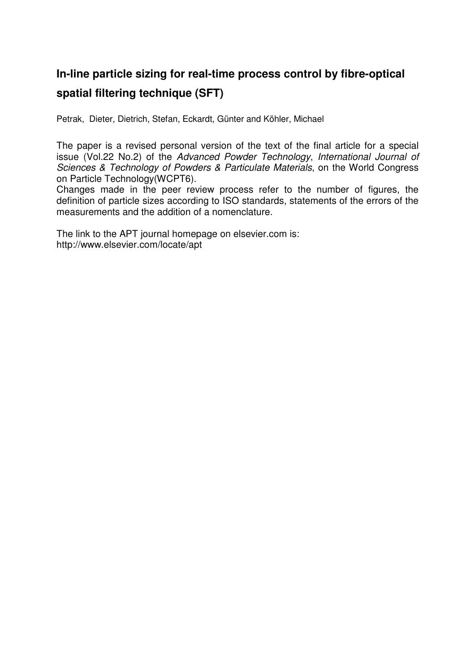## **In-line particle sizing for real-time process control by fibre-optical spatial filtering technique (SFT)**

Petrak, Dieter, Dietrich, Stefan, Eckardt, Günter and Köhler, Michael

The paper is a revised personal version of the text of the final article for a special issue (Vol.22 No.2) of the Advanced Powder Technology, International Journal of Sciences & Technology of Powders & Particulate Materials, on the World Congress on Particle Technology(WCPT6).

Changes made in the peer review process refer to the number of figures, the definition of particle sizes according to ISO standards, statements of the errors of the measurements and the addition of a nomenclature.

The link to the APT journal homepage on elsevier.com is: http://www.elsevier.com/locate/apt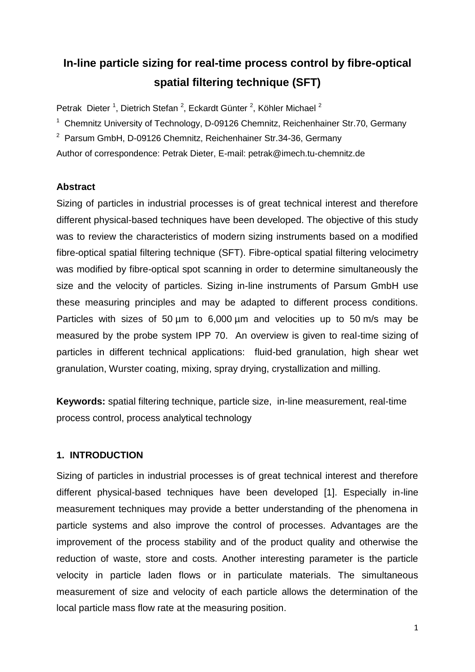# **In-line particle sizing for real-time process control by fibre-optical spatial filtering technique (SFT)**

Petrak Dieter<sup>1</sup>, Dietrich Stefan<sup>2</sup>, Eckardt Günter<sup>2</sup>, Köhler Michael<sup>2</sup>

- <sup>1</sup> Chemnitz University of Technology, D-09126 Chemnitz, Reichenhainer Str.70, Germany
- <sup>2</sup> Parsum GmbH, D-09126 Chemnitz, Reichenhainer Str.34-36, Germany

Author of correspondence: Petrak Dieter, E-mail: [petrak@imech.tu-chemnitz.de](mailto:petrak@imech.tu-chemnitz.de)

### **Abstract**

Sizing of particles in industrial processes is of great technical interest and therefore different physical-based techniques have been developed. The objective of this study was to review the characteristics of modern sizing instruments based on a modified fibre-optical spatial filtering technique (SFT). Fibre-optical spatial filtering velocimetry was modified by fibre-optical spot scanning in order to determine simultaneously the size and the velocity of particles. Sizing in-line instruments of Parsum GmbH use these measuring principles and may be adapted to different process conditions. Particles with sizes of 50 um to 6,000 um and velocities up to 50 m/s may be measured by the probe system IPP 70. An overview is given to real-time sizing of particles in different technical applications: fluid-bed granulation, high shear wet granulation, Wurster coating, mixing, spray drying, crystallization and milling.

**Keywords:** spatial filtering technique, particle size, in-line measurement, real-time process control, process analytical technology

## **1. INTRODUCTION**

Sizing of particles in industrial processes is of great technical interest and therefore different physical-based techniques have been developed [1]. Especially in-line measurement techniques may provide a better understanding of the phenomena in particle systems and also improve the control of processes. Advantages are the improvement of the process stability and of the product quality and otherwise the reduction of waste, store and costs. Another interesting parameter is the particle velocity in particle laden flows or in particulate materials. The simultaneous measurement of size and velocity of each particle allows the determination of the local particle mass flow rate at the measuring position.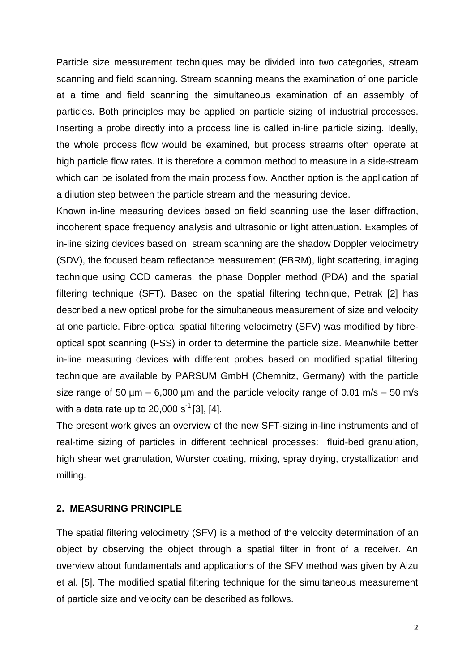Particle size measurement techniques may be divided into two categories, stream scanning and field scanning. Stream scanning means the examination of one particle at a time and field scanning the simultaneous examination of an assembly of particles. Both principles may be applied on particle sizing of industrial processes. Inserting a probe directly into a process line is called in-line particle sizing. Ideally, the whole process flow would be examined, but process streams often operate at high particle flow rates. It is therefore a common method to measure in a side-stream which can be isolated from the main process flow. Another option is the application of a dilution step between the particle stream and the measuring device.

Known in-line measuring devices based on field scanning use the laser diffraction, incoherent space frequency analysis and ultrasonic or light attenuation. Examples of in-line sizing devices based on stream scanning are the shadow Doppler velocimetry (SDV), the focused beam reflectance measurement (FBRM), light scattering, imaging technique using CCD cameras, the phase Doppler method (PDA) and the spatial filtering technique (SFT). Based on the spatial filtering technique, Petrak [2] has described a new optical probe for the simultaneous measurement of size and velocity at one particle. Fibre-optical spatial filtering velocimetry (SFV) was modified by fibreoptical spot scanning (FSS) in order to determine the particle size. Meanwhile better in-line measuring devices with different probes based on modified spatial filtering technique are available by PARSUM GmbH (Chemnitz, Germany) with the particle size range of 50  $\mu$ m – 6,000  $\mu$ m and the particle velocity range of 0.01 m/s – 50 m/s with a data rate up to 20,000 s<sup>-1</sup> [3], [4].

The present work gives an overview of the new SFT-sizing in-line instruments and of real-time sizing of particles in different technical processes: fluid-bed granulation, high shear wet granulation, Wurster coating, mixing, spray drying, crystallization and milling.

#### **2. MEASURING PRINCIPLE**

The spatial filtering velocimetry (SFV) is a method of the velocity determination of an object by observing the object through a spatial filter in front of a receiver. An overview about fundamentals and applications of the SFV method was given by Aizu et al. [5]. The modified spatial filtering technique for the simultaneous measurement of particle size and velocity can be described as follows.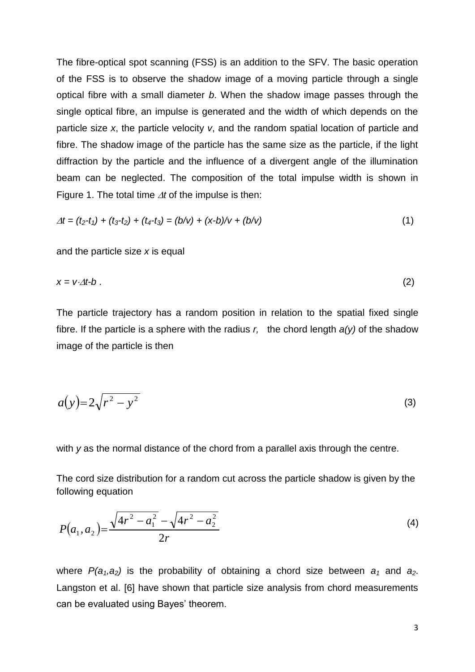The fibre-optical spot scanning (FSS) is an addition to the SFV. The basic operation of the FSS is to observe the shadow image of a moving particle through a single optical fibre with a small diameter *b*. When the shadow image passes through the single optical fibre, an impulse is generated and the width of which depends on the particle size *x*, the particle velocity *v*, and the random spatial location of particle and fibre. The shadow image of the particle has the same size as the particle, if the light diffraction by the particle and the influence of a divergent angle of the illumination beam can be neglected. The composition of the total impulse width is shown in Figure 1. The total time  $\Delta t$  of the impulse is then:

$$
\Delta t = (t_2 - t_1) + (t_3 - t_2) + (t_4 - t_3) = (b/v) + (x-b)/v + (b/v)
$$
\n(1)

and the particle size *x* is equal

$$
x = v \Delta t - b \tag{2}
$$

The particle trajectory has a random position in relation to the spatial fixed single fibre. If the particle is a sphere with the radius *r,* the chord length *a(y)* of the shadow image of the particle is then

$$
a(y)=2\sqrt{r^2-y^2} \tag{3}
$$

with *y* as the normal distance of the chord from a parallel axis through the centre.

The cord size distribution for a random cut across the particle shadow is given by the following equation

$$
P(a_1, a_2) = \frac{\sqrt{4r^2 - a_1^2} - \sqrt{4r^2 - a_2^2}}{2r}
$$
 (4)

where  $P(a_1, a_2)$  is the probability of obtaining a chord size between  $a_1$  and  $a_2$ . Langston et al. [6] have shown that particle size analysis from chord measurements can be evaluated using Bayes' theorem.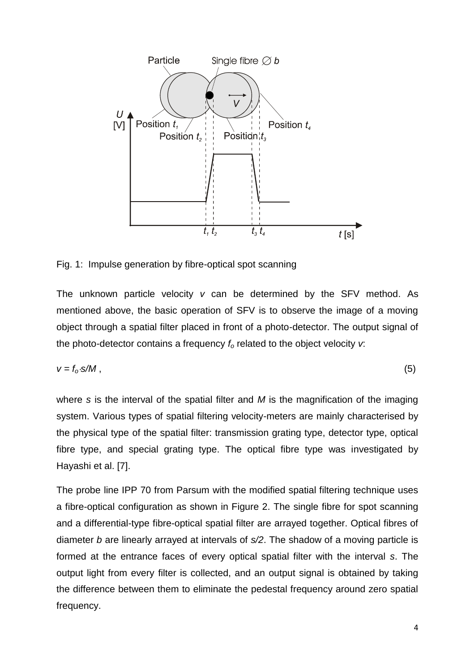

Fig. 1: Impulse generation by fibre-optical spot scanning

The unknown particle velocity *v* can be determined by the SFV method. As mentioned above, the basic operation of SFV is to observe the image of a moving object through a spatial filter placed in front of a photo-detector. The output signal of the photo-detector contains a frequency *f<sup>o</sup>* related to the object velocity *v*:

$$
v = f_o \cdot s/M \tag{5}
$$

where *s* is the interval of the spatial filter and *M* is the magnification of the imaging system. Various types of spatial filtering velocity-meters are mainly characterised by the physical type of the spatial filter: transmission grating type, detector type, optical fibre type, and special grating type. The optical fibre type was investigated by Hayashi et al. [7].

The probe line IPP 70 from Parsum with the modified spatial filtering technique uses a fibre-optical configuration as shown in Figure 2. The single fibre for spot scanning and a differential-type fibre-optical spatial filter are arrayed together. Optical fibres of diameter *b* are linearly arrayed at intervals of *s/2*. The shadow of a moving particle is formed at the entrance faces of every optical spatial filter with the interval *s*. The output light from every filter is collected, and an output signal is obtained by taking the difference between them to eliminate the pedestal frequency around zero spatial frequency.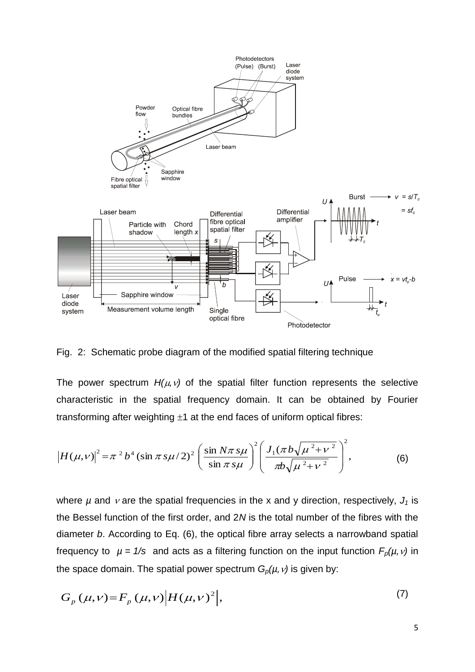

Fig. 2: Schematic probe diagram of the modified spatial filtering technique

The power spectrum  $H(\mu, \nu)$  of the spatial filter function represents the selective characteristic in the spatial frequency domain. It can be obtained by Fourier transforming after weighting  $\pm 1$  at the end faces of uniform optical fibres:

$$
\left|H(\mu,\nu)\right|^2 = \pi^2 b^4 \left(\sin \pi s \mu/2\right)^2 \left(\frac{\sin N \pi s \mu}{\sin \pi s \mu}\right)^2 \left(\frac{J_1(\pi b \sqrt{\mu^2 + \nu^2}}{\pi b \sqrt{\mu^2 + \nu^2}}\right)^2,\tag{6}
$$

where  $\mu$  and  $\nu$  are the spatial frequencies in the x and y direction, respectively,  $J_1$  is the Bessel function of the first order, and 2*N* is the total number of the fibres with the diameter *b*. According to Eq. (6), the optical fibre array selects a narrowband spatial frequency to  $\mu = 1/s$  and acts as a filtering function on the input function  $F_p(\mu, \nu)$  in the space domain. The spatial power spectrum  $G_p(\mu, \nu)$  is given by:

$$
G_p(\mu, \nu) = F_p(\mu, \nu) \Big| H(\mu, \nu)^2 \Big|, \tag{7}
$$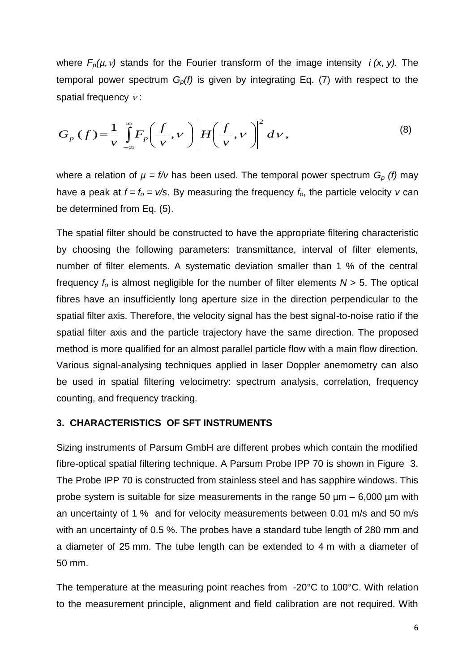where  $F_p(\mu, \nu)$  stands for the Fourier transform of the image intensity *i*  $(x, y)$ . The temporal power spectrum *Gp(f)* is given by integrating Eq. (7) with respect to the spatial frequency  $v$ :

$$
G_p(f) = \frac{1}{\nu} \int_{-\infty}^{\infty} F_p\left(\frac{f}{\nu}, \nu\right) \left| H\left(\frac{f}{\nu}, \nu\right) \right|^2 d\nu,
$$
 (8)

where a relation of  $\mu = f/v$  has been used. The temporal power spectrum  $G_p$  (f) may have a peak at  $f = f_0 = v/s$ . By measuring the frequency  $f_0$ , the particle velocity *v* can be determined from Eq. (5).

The spatial filter should be constructed to have the appropriate filtering characteristic by choosing the following parameters: transmittance, interval of filter elements, number of filter elements. A systematic deviation smaller than 1 % of the central frequency  $f_0$  is almost negligible for the number of filter elements  $N > 5$ . The optical fibres have an insufficiently long aperture size in the direction perpendicular to the spatial filter axis. Therefore, the velocity signal has the best signal-to-noise ratio if the spatial filter axis and the particle trajectory have the same direction. The proposed method is more qualified for an almost parallel particle flow with a main flow direction. Various signal-analysing techniques applied in laser Doppler anemometry can also be used in spatial filtering velocimetry: spectrum analysis, correlation, frequency counting, and frequency tracking.

#### **3. CHARACTERISTICS OF SFT INSTRUMENTS**

Sizing instruments of Parsum GmbH are different probes which contain the modified fibre-optical spatial filtering technique. A Parsum Probe IPP 70 is shown in Figure 3. The Probe IPP 70 is constructed from stainless steel and has sapphire windows. This probe system is suitable for size measurements in the range  $50 \mu m - 6,000 \mu m$  with an uncertainty of 1 % and for velocity measurements between 0.01 m/s and 50 m/s with an uncertainty of 0.5 %. The probes have a standard tube length of 280 mm and a diameter of 25 mm. The tube length can be extended to 4 m with a diameter of 50 mm.

The temperature at the measuring point reaches from -20°C to 100°C. With relation to the measurement principle, alignment and field calibration are not required. With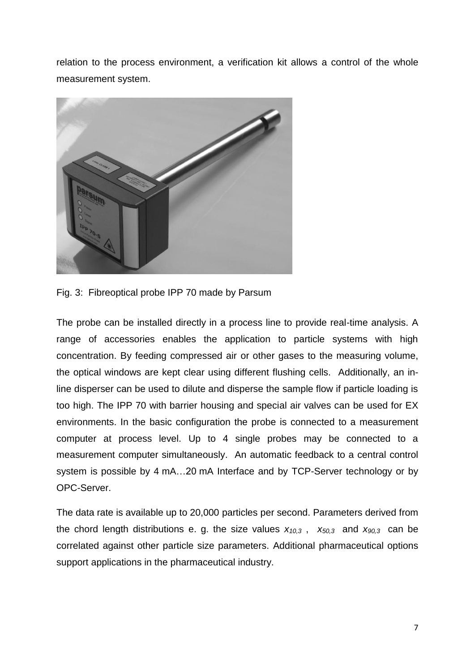relation to the process environment, a verification kit allows a control of the whole measurement system.



Fig. 3: Fibreoptical probe IPP 70 made by Parsum

The probe can be installed directly in a process line to provide real-time analysis. A range of accessories enables the application to particle systems with high concentration. By feeding compressed air or other gases to the measuring volume, the optical windows are kept clear using different flushing cells. Additionally, an inline disperser can be used to dilute and disperse the sample flow if particle loading is too high. The IPP 70 with barrier housing and special air valves can be used for EX environments. In the basic configuration the probe is connected to a measurement computer at process level. Up to 4 single probes may be connected to a measurement computer simultaneously. An automatic feedback to a central control system is possible by 4 mA…20 mA Interface and by TCP-Server technology or by OPC-Server.

The data rate is available up to 20,000 particles per second. Parameters derived from the chord length distributions e. g. the size values  $x_{10,3}$ ,  $x_{50,3}$  and  $x_{90,3}$  can be correlated against other particle size parameters. Additional pharmaceutical options support applications in the pharmaceutical industry.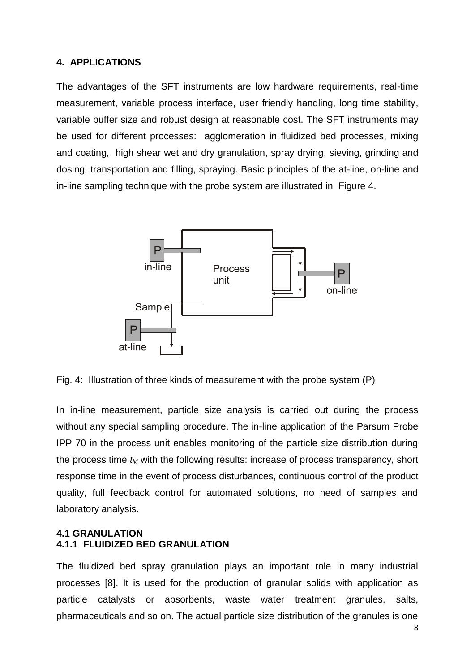#### **4. APPLICATIONS**

The advantages of the SFT instruments are low hardware requirements, real-time measurement, variable process interface, user friendly handling, long time stability, variable buffer size and robust design at reasonable cost. The SFT instruments may be used for different processes: agglomeration in fluidized bed processes, mixing and coating, high shear wet and dry granulation, spray drying, sieving, grinding and dosing, transportation and filling, spraying. Basic principles of the at-line, on-line and in-line sampling technique with the probe system are illustrated in Figure 4.



Fig. 4: Illustration of three kinds of measurement with the probe system (P)

In in-line measurement, particle size analysis is carried out during the process without any special sampling procedure. The in-line application of the Parsum Probe IPP 70 in the process unit enables monitoring of the particle size distribution during the process time *t<sup>M</sup>* with the following results: increase of process transparency, short response time in the event of process disturbances, continuous control of the product quality, full feedback control for automated solutions, no need of samples and laboratory analysis.

#### **4.1 GRANULATION 4.1.1 FLUIDIZED BED GRANULATION**

The fluidized bed spray granulation plays an important role in many industrial processes [8]. It is used for the production of granular solids with application as particle catalysts or absorbents, waste water treatment granules, salts, pharmaceuticals and so on. The actual particle size distribution of the granules is one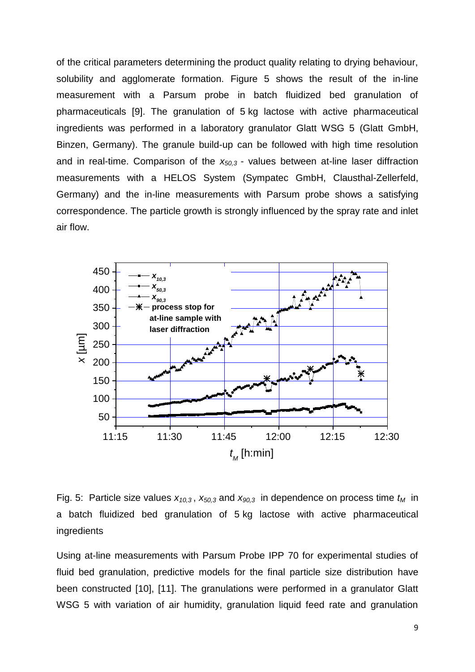of the critical parameters determining the product quality relating to drying behaviour, solubility and agglomerate formation. Figure 5 shows the result of the in-line measurement with a Parsum probe in batch fluidized bed granulation of pharmaceuticals [9]. The granulation of 5 kg lactose with active pharmaceutical ingredients was performed in a laboratory granulator Glatt WSG 5 (Glatt GmbH, Binzen, Germany). The granule build-up can be followed with high time resolution and in real-time. Comparison of the *x50,3* - values between at-line laser diffraction measurements with a HELOS System (Sympatec GmbH, Clausthal-Zellerfeld, Germany) and the in-line measurements with Parsum probe shows a satisfying correspondence. The particle growth is strongly influenced by the spray rate and inlet air flow.



Fig. 5: Particle size values  $x_{10,3}$ ,  $x_{50,3}$  and  $x_{90,3}$  in dependence on process time  $t_M$  in a batch fluidized bed granulation of 5 kg lactose with active pharmaceutical ingredients

Using at-line measurements with Parsum Probe IPP 70 for experimental studies of fluid bed granulation, predictive models for the final particle size distribution have been constructed [10], [11]. The granulations were performed in a granulator Glatt WSG 5 with variation of air humidity, granulation liquid feed rate and granulation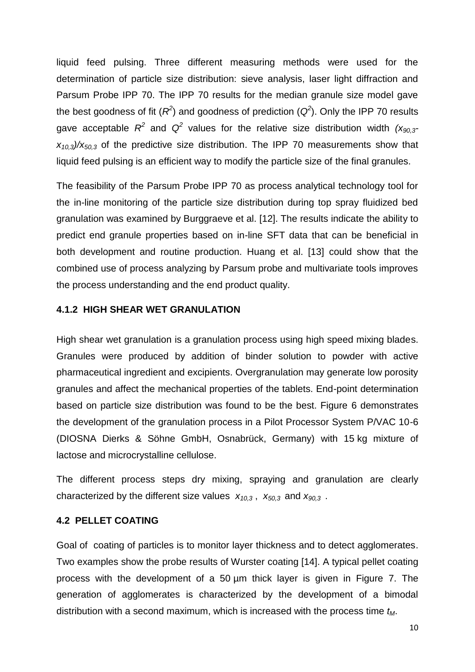liquid feed pulsing. Three different measuring methods were used for the determination of particle size distribution: sieve analysis, laser light diffraction and Parsum Probe IPP 70. The IPP 70 results for the median granule size model gave the best goodness of fit  $(R^2)$  and goodness of prediction  $(Q^2)$ . Only the IPP 70 results gave acceptable  $R^2$  and  $Q^2$  values for the relative size distribution width  $(x_{90,3}$ *x10,3)/x50,3* of the predictive size distribution. The IPP 70 measurements show that liquid feed pulsing is an efficient way to modify the particle size of the final granules.

The feasibility of the Parsum Probe IPP 70 as process analytical technology tool for the in-line monitoring of the particle size distribution during top spray fluidized bed granulation was examined by Burggraeve et al. [12]. The results indicate the ability to predict end granule properties based on in-line SFT data that can be beneficial in both development and routine production. Huang et al. [13] could show that the combined use of process analyzing by Parsum probe and multivariate tools improves the process understanding and the end product quality.

## **4.1.2 HIGH SHEAR WET GRANULATION**

High shear wet granulation is a granulation process using high speed mixing blades. Granules were produced by addition of binder solution to powder with active pharmaceutical ingredient and excipients. Overgranulation may generate low porosity granules and affect the mechanical properties of the tablets. End-point determination based on particle size distribution was found to be the best. Figure 6 demonstrates the development of the granulation process in a Pilot Processor System P/VAC 10-6 (DIOSNA Dierks & Söhne GmbH, Osnabrück, Germany) with 15 kg mixture of lactose and microcrystalline cellulose.

The different process steps dry mixing, spraying and granulation are clearly characterized by the different size values *x10,3* , *x50,3* and *x90,3* .

#### **4.2 PELLET COATING**

Goal of coating of particles is to monitor layer thickness and to detect agglomerates. Two examples show the probe results of Wurster coating [14]. A typical pellet coating process with the development of a 50 µm thick layer is given in Figure 7. The generation of agglomerates is characterized by the development of a bimodal distribution with a second maximum, which is increased with the process time *tM*.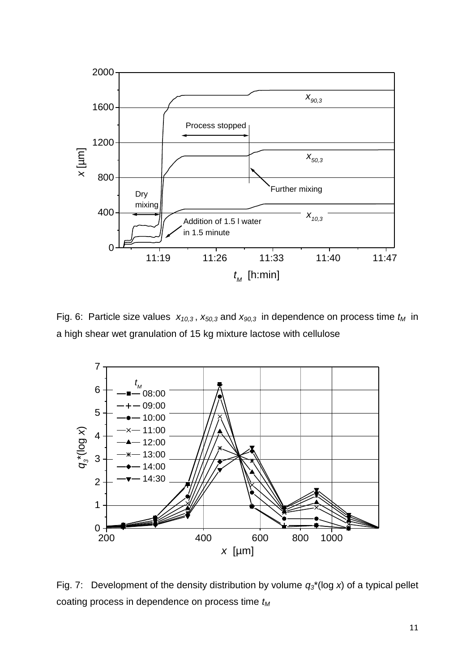

Fig. 6: Particle size values  $x_{10,3}$ ,  $x_{50,3}$  and  $x_{90,3}$  in dependence on process time  $t_M$  in a high shear wet granulation of 15 kg mixture lactose with cellulose



Fig. 7: Development of the density distribution by volume *q3*\*(log *x*) of a typical pellet coating process in dependence on process time *t<sup>M</sup>*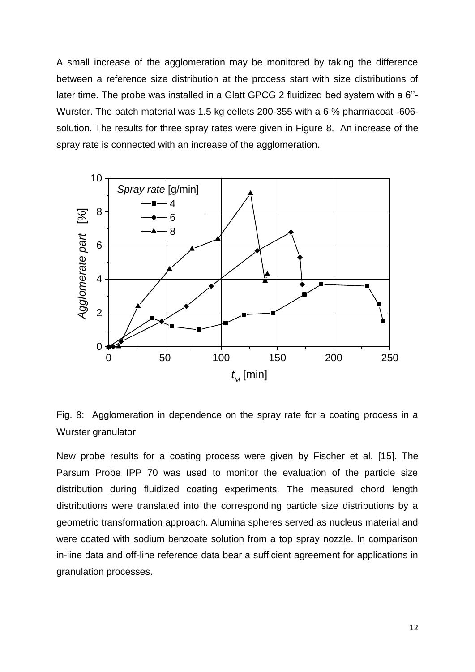A small increase of the agglomeration may be monitored by taking the difference between a reference size distribution at the process start with size distributions of later time. The probe was installed in a Glatt GPCG 2 fluidized bed system with a 6''- Wurster. The batch material was 1.5 kg cellets 200-355 with a 6 % pharmacoat -606 solution. The results for three spray rates were given in Figure 8. An increase of the spray rate is connected with an increase of the agglomeration.



Fig. 8: Agglomeration in dependence on the spray rate for a coating process in a Wurster granulator

New probe results for a coating process were given by Fischer et al. [15]. The Parsum Probe IPP 70 was used to monitor the evaluation of the particle size distribution during fluidized coating experiments. The measured chord length distributions were translated into the corresponding particle size distributions by a geometric transformation approach. Alumina spheres served as nucleus material and were coated with sodium benzoate solution from a top spray nozzle. In comparison in-line data and off-line reference data bear a sufficient agreement for applications in granulation processes.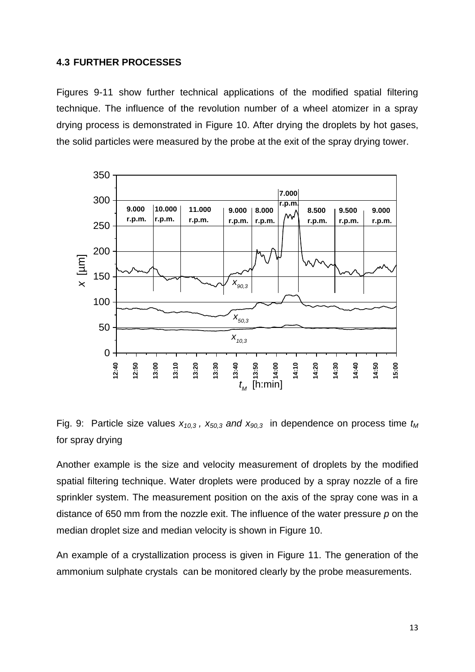### **4.3 FURTHER PROCESSES**

Figures 9-11 show further technical applications of the modified spatial filtering technique. The influence of the revolution number of a wheel atomizer in a spray drying process is demonstrated in Figure 10. After drying the droplets by hot gases, the solid particles were measured by the probe at the exit of the spray drying tower.



Fig. 9: Particle size values  $x_{10,3}$ ,  $x_{50,3}$  *and*  $x_{90,3}$  in dependence on process time  $t_M$ for spray drying

Another example is the size and velocity measurement of droplets by the modified spatial filtering technique. Water droplets were produced by a spray nozzle of a fire sprinkler system. The measurement position on the axis of the spray cone was in a distance of 650 mm from the nozzle exit. The influence of the water pressure *p* on the median droplet size and median velocity is shown in Figure 10. Fig. 9: Particle size values  $x_{10,3}$ ,  $x_{50,3}$  and  $x_{90,3}$  in dependence on process time that for spray drying<br>
Fig. 9: Particle size values  $x_{10,3}$ ,  $x_{50,3}$  and  $x_{90,3}$  in dependence on process time that for s

An example of a crystallization process is given in Figure 11. The generation of the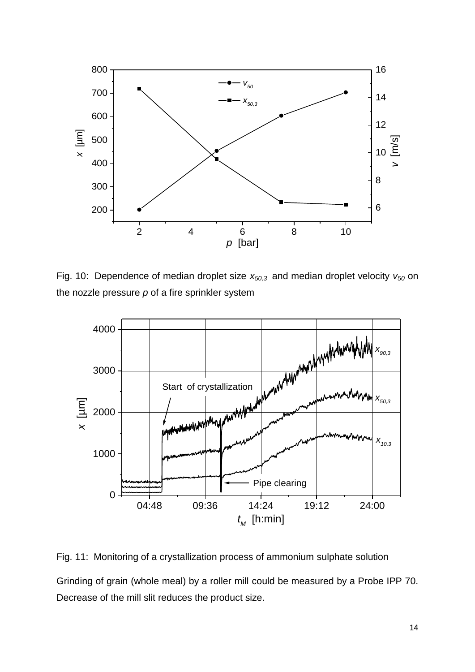

Fig. 10: Dependence of median droplet size *x50,3* and median droplet velocity *v<sup>50</sup>* on the nozzle pressure *p* of a fire sprinkler system



Fig. 11: Monitoring of a crystallization process of ammonium sulphate solution Grinding of grain (whole meal) by a roller mill could be measured by a Probe IPP 70. Decrease of the mill slit reduces the product size.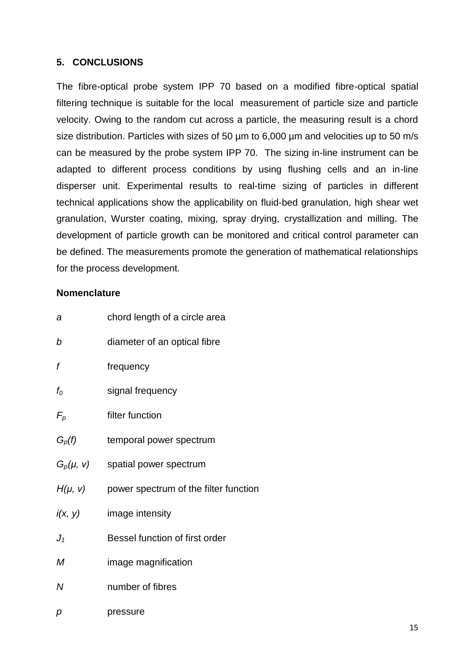## **5. CONCLUSIONS**

The fibre-optical probe system IPP 70 based on a modified fibre-optical spatial filtering technique is suitable for the local measurement of particle size and particle velocity. Owing to the random cut across a particle, the measuring result is a chord size distribution. Particles with sizes of 50 um to 6,000 um and velocities up to 50 m/s can be measured by the probe system IPP 70. The sizing in-line instrument can be adapted to different process conditions by using flushing cells and an in-line disperser unit. Experimental results to real-time sizing of particles in different technical applications show the applicability on fluid-bed granulation, high shear wet granulation, Wurster coating, mixing, spray drying, crystallization and milling. The development of particle growth can be monitored and critical control parameter can be defined. The measurements promote the generation of mathematical relationships for the process development.

### **Nomenclature**

| а        | chord length of a circle area                       |
|----------|-----------------------------------------------------|
| b        | diameter of an optical fibre                        |
| f        | frequency                                           |
| $f_{O}$  | signal frequency                                    |
| $F_p$    | filter function                                     |
| $G_p(f)$ | temporal power spectrum                             |
|          | $G_p(\mu, \nu)$ spatial power spectrum              |
|          | $H(\mu, \nu)$ power spectrum of the filter function |
| i(x, y)  | image intensity                                     |
| $J_1$    | Bessel function of first order                      |
| М        | image magnification                                 |
| N        | number of fibres                                    |
| p        | pressure                                            |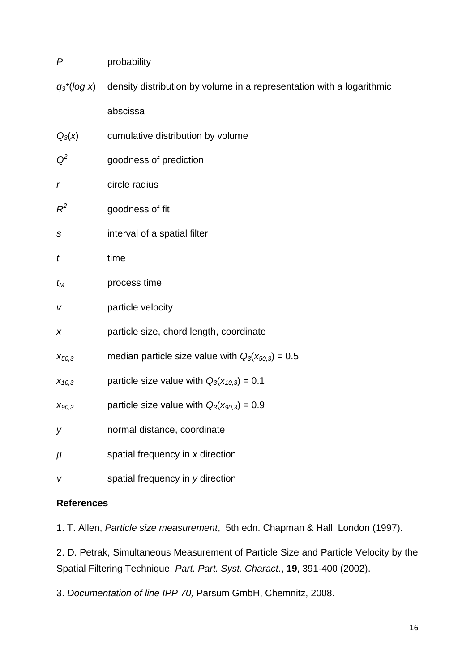| P                              | probability                                                           |
|--------------------------------|-----------------------------------------------------------------------|
| $q_3$ <sup>*</sup> ( $log x$ ) | density distribution by volume in a representation with a logarithmic |
|                                | abscissa                                                              |
| $Q_3(x)$                       | cumulative distribution by volume                                     |
| $Q^2$                          | goodness of prediction                                                |
| r                              | circle radius                                                         |
| $R^2$                          | goodness of fit                                                       |
| S                              | interval of a spatial filter                                          |
| t                              | time                                                                  |
| $t_{\mathcal{M}}$              | process time                                                          |
| V                              | particle velocity                                                     |
| X                              | particle size, chord length, coordinate                               |
| $X_{50,3}$                     | median particle size value with $Q_3(x_{50,3}) = 0.5$                 |
| $X_{10,3}$                     | particle size value with $Q_3(x_{10,3}) = 0.1$                        |
| $X_{90,3}$                     | particle size value with $Q_3(x_{90,3}) = 0.9$                        |
| у                              | normal distance, coordinate                                           |
| μ                              | spatial frequency in x direction                                      |
| v                              | spatial frequency in y direction                                      |

## **References**

1. T. Allen, *Particle size measurement*, 5th edn. Chapman & Hall, London (1997).

2. D. Petrak, Simultaneous Measurement of Particle Size and Particle Velocity by the Spatial Filtering Technique, *Part. Part. Syst. Charact*., **19**, 391-400 (2002).

3. *Documentation of line IPP 70,* Parsum GmbH, Chemnitz, 2008.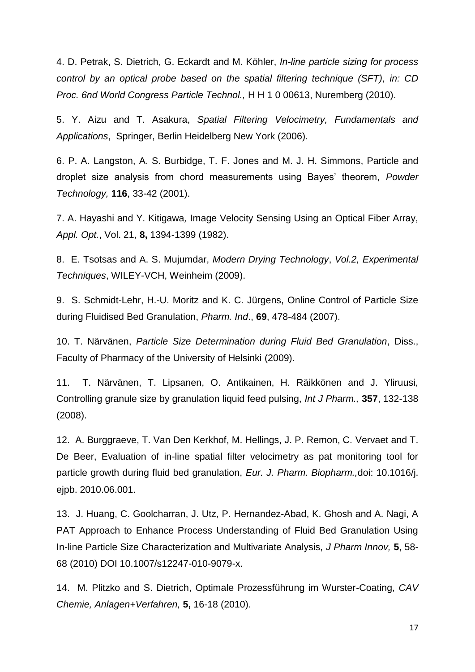4. D. Petrak, S. Dietrich, G. Eckardt and M. Köhler, *In-line particle sizing for process control by an optical probe based on the spatial filtering technique (SFT), in: CD Proc. 6nd World Congress Particle Technol.,* H H 1 0 00613, Nuremberg (2010).

5. Y. Aizu and T. Asakura, *Spatial Filtering Velocimetry, Fundamentals and Applications*, Springer, Berlin Heidelberg New York (2006).

6. P. A. Langston, A. S. Burbidge, T. F. Jones and M. J. H. Simmons, Particle and droplet size analysis from chord measurements using Bayes' theorem, *Powder Technology,* **116**, 33-42 (2001).

7. A. Hayashi and Y. Kitigawa*,* Image Velocity Sensing Using an Optical Fiber Array, *Appl. Opt.*, Vol. 21, **8,** 1394-1399 (1982).

8. E. Tsotsas and A. S. Mujumdar, *Modern Drying Technology*, *Vol.2, Experimental Techniques*, WILEY-VCH, Weinheim (2009).

9. S. Schmidt-Lehr, H.-U. Moritz and K. C. Jürgens, Online Control of Particle Size during Fluidised Bed Granulation, *Pharm. Ind*., **69**, 478-484 (2007).

10. T. Närvänen, *Particle Size Determination during Fluid Bed Granulation*, Diss., Faculty of Pharmacy of the University of Helsinki (2009).

11. T. Närvänen, T. Lipsanen, O. Antikainen, H. Räikkönen and J. Yliruusi, Controlling granule size by granulation liquid feed pulsing, *Int J Pharm.,* **357**, 132-138 (2008).

12. A. Burggraeve, T. Van Den Kerkhof, M. Hellings, J. P. Remon, C. Vervaet and T. De Beer, Evaluation of in-line spatial filter velocimetry as pat monitoring tool for particle growth during fluid bed granulation, *Eur. J. Pharm. Biopharm.,*doi: 10.1016/j. ejpb. 2010.06.001.

13. J. Huang, C. Goolcharran, J. Utz, P. Hernandez-Abad, K. Ghosh and A. Nagi, A PAT Approach to Enhance Process Understanding of Fluid Bed Granulation Using In-line Particle Size Characterization and Multivariate Analysis, *J Pharm Innov,* **5**, 58- 68 (2010) DOI 10.1007/s12247-010-9079-x.

14. M. Plitzko and S. Dietrich, Optimale Prozessführung im Wurster-Coating, *CAV Chemie, Anlagen+Verfahren,* **5,** 16-18 (2010).